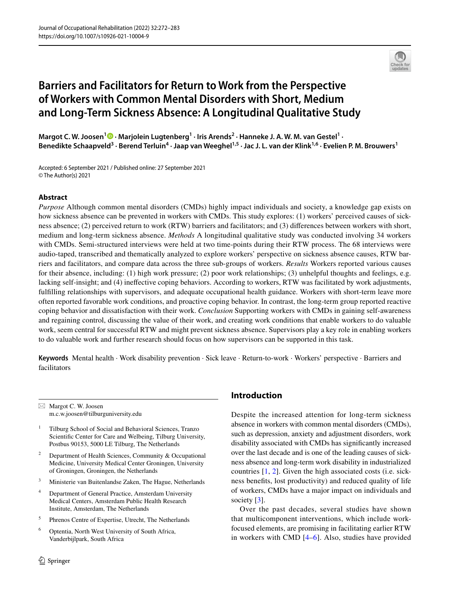

# **Barriers and Facilitators for Return to Work from the Perspective of Workers with Common Mental Disorders with Short, Medium and Long‑Term Sickness Absence: A Longitudinal Qualitative Study**

MargotC. W. Joosen<sup>1</sup> <sup>O</sup> · Marjolein Lugtenberg<sup>1</sup> · Iris Arends<sup>2</sup> · Hanneke J. A. W. M. van Gestel<sup>1</sup> · Benedikte Schaapveld<sup>3</sup> · Berend Terluin<sup>4</sup> · Jaap van Weeghel<sup>1,5</sup> · Jac J. L. van der Klink<sup>1,6</sup> · Evelien P. M. Brouwers<sup>1</sup>

Accepted: 6 September 2021 / Published online: 27 September 2021 © The Author(s) 2021

## **Abstract**

*Purpose* Although common mental disorders (CMDs) highly impact individuals and society, a knowledge gap exists on how sickness absence can be prevented in workers with CMDs. This study explores: (1) workers' perceived causes of sickness absence; (2) perceived return to work (RTW) barriers and facilitators; and (3) diferences between workers with short, medium and long-term sickness absence. *Methods* A longitudinal qualitative study was conducted involving 34 workers with CMDs. Semi-structured interviews were held at two time-points during their RTW process. The 68 interviews were audio-taped, transcribed and thematically analyzed to explore workers' perspective on sickness absence causes, RTW barriers and facilitators, and compare data across the three sub-groups of workers. *Results* Workers reported various causes for their absence, including: (1) high work pressure; (2) poor work relationships; (3) unhelpful thoughts and feelings, e.g. lacking self-insight; and (4) inefective coping behaviors. According to workers, RTW was facilitated by work adjustments, fulflling relationships with supervisors, and adequate occupational health guidance. Workers with short-term leave more often reported favorable work conditions, and proactive coping behavior. In contrast, the long-term group reported reactive coping behavior and dissatisfaction with their work. *Conclusion* Supporting workers with CMDs in gaining self-awareness and regaining control, discussing the value of their work, and creating work conditions that enable workers to do valuable work, seem central for successful RTW and might prevent sickness absence. Supervisors play a key role in enabling workers to do valuable work and further research should focus on how supervisors can be supported in this task.

**Keywords** Mental health · Work disability prevention · Sick leave · Return-to-work · Workers' perspective · Barriers and facilitators

 $\boxtimes$  Margot C. W. Joosen m.c.w.joosen@tilburguniversity.edu

- <sup>1</sup> Tilburg School of Social and Behavioral Sciences, Tranzo Scientifc Center for Care and Welbeing, Tilburg University, Postbus 90153, 5000 LE Tilburg, The Netherlands
- <sup>2</sup> Department of Health Sciences, Community & Occupational Medicine, University Medical Center Groningen, University of Groningen, Groningen, the Netherlands
- <sup>3</sup> Ministerie van Buitenlandse Zaken, The Hague, Netherlands
- <sup>4</sup> Department of General Practice, Amsterdam University Medical Centers, Amsterdam Public Health Research Institute, Amsterdam, The Netherlands
- <sup>5</sup> Phrenos Centre of Expertise, Utrecht, The Netherlands
- <sup>6</sup> Optentia, North West University of South Africa, Vanderbijlpark, South Africa

# **Introduction**

Despite the increased attention for long-term sickness absence in workers with common mental disorders (CMDs), such as depression, anxiety and adjustment disorders, work disability associated with CMDs has signifcantly increased over the last decade and is one of the leading causes of sickness absence and long-term work disability in industrialized countries [[1](#page-10-0), [2\]](#page-10-1). Given the high associated costs (i.e. sickness benefts, lost productivity) and reduced quality of life of workers, CMDs have a major impact on individuals and society [[3\]](#page-10-2).

Over the past decades, several studies have shown that multicomponent interventions, which include workfocused elements, are promising in facilitating earlier RTW in workers with CMD [\[4–](#page-10-3)[6\]](#page-10-4). Also, studies have provided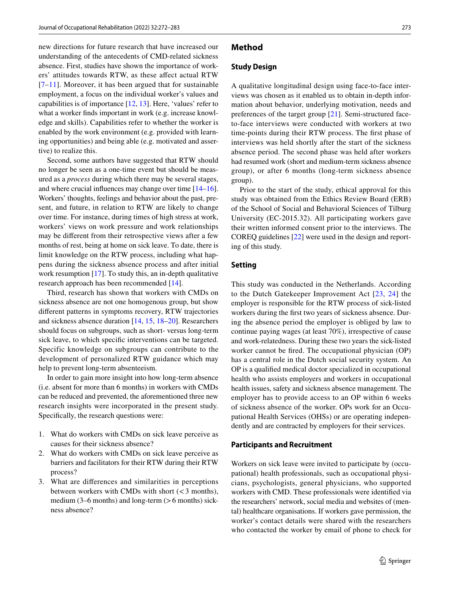new directions for future research that have increased our understanding of the antecedents of CMD-related sickness absence. First, studies have shown the importance of workers' attitudes towards RTW, as these afect actual RTW  $[7-11]$  $[7-11]$  $[7-11]$ . Moreover, it has been argued that for sustainable employment, a focus on the individual worker's values and capabilities is of importance [\[12](#page-10-7), [13](#page-10-8)]. Here, 'values' refer to what a worker fnds important in work (e.g. increase knowledge and skills). Capabilities refer to whether the worker is enabled by the work environment (e.g. provided with learning opportunities) and being able (e.g. motivated and assertive) to realize this.

Second, some authors have suggested that RTW should no longer be seen as a one-time event but should be measured as a *process* during which there may be several stages, and where crucial infuences may change over time [\[14](#page-10-9)[–16](#page-11-0)]. Workers' thoughts, feelings and behavior about the past, present, and future, in relation to RTW are likely to change over time. For instance, during times of high stress at work, workers' views on work pressure and work relationships may be diferent from their retrospective views after a few months of rest, being at home on sick leave. To date, there is limit knowledge on the RTW process, including what happens during the sickness absence process and after initial work resumption [\[17\]](#page-11-1). To study this, an in-depth qualitative research approach has been recommended [[14\]](#page-10-9).

Third, research has shown that workers with CMDs on sickness absence are not one homogenous group, but show diferent patterns in symptoms recovery, RTW trajectories and sickness absence duration [\[14](#page-10-9), [15](#page-11-2), [18](#page-11-3)[–20](#page-11-4)]. Researchers should focus on subgroups, such as short- versus long-term sick leave, to which specifc interventions can be targeted. Specific knowledge on subgroups can contribute to the development of personalized RTW guidance which may help to prevent long-term absenteeism.

In order to gain more insight into how long-term absence (i.e. absent for more than 6 months) in workers with CMDs can be reduced and prevented, the aforementioned three new research insights were incorporated in the present study. Specifcally, the research questions were:

- 1. What do workers with CMDs on sick leave perceive as causes for their sickness absence?
- 2. What do workers with CMDs on sick leave perceive as barriers and facilitators for their RTW during their RTW process?
- 3. What are diferences and similarities in perceptions between workers with CMDs with short  $(<$  3 months), medium  $(3-6$  months) and long-term  $(>6$  months) sickness absence?

## **Method**

## **Study Design**

A qualitative longitudinal design using face-to-face interviews was chosen as it enabled us to obtain in-depth information about behavior, underlying motivation, needs and preferences of the target group [[21\]](#page-11-5). Semi-structured faceto-face interviews were conducted with workers at two time-points during their RTW process. The frst phase of interviews was held shortly after the start of the sickness absence period. The second phase was held after workers had resumed work (short and medium-term sickness absence group), or after 6 months (long-term sickness absence group).

Prior to the start of the study, ethical approval for this study was obtained from the Ethics Review Board (ERB) of the School of Social and Behavioral Sciences of Tilburg University (EC-2015.32). All participating workers gave their written informed consent prior to the interviews. The COREQ guidelines [\[22](#page-11-6)] were used in the design and reporting of this study.

## **Setting**

This study was conducted in the Netherlands. According to the Dutch Gatekeeper Improvement Act [[23](#page-11-7), [24](#page-11-8)] the employer is responsible for the RTW process of sick-listed workers during the frst two years of sickness absence. During the absence period the employer is obliged by law to continue paying wages (at least 70%), irrespective of cause and work-relatedness. During these two years the sick-listed worker cannot be fred. The occupational physician (OP) has a central role in the Dutch social security system. An OP is a qualifed medical doctor specialized in occupational health who assists employers and workers in occupational health issues, safety and sickness absence management. The employer has to provide access to an OP within 6 weeks of sickness absence of the worker. OPs work for an Occupational Health Services (OHSs) or are operating independently and are contracted by employers for their services.

## **Participants and Recruitment**

Workers on sick leave were invited to participate by (occupational) health professionals, such as occupational physicians, psychologists, general physicians, who supported workers with CMD. These professionals were identifed via the researchers' network, social media and websites of (mental) healthcare organisations. If workers gave permission, the worker's contact details were shared with the researchers who contacted the worker by email of phone to check for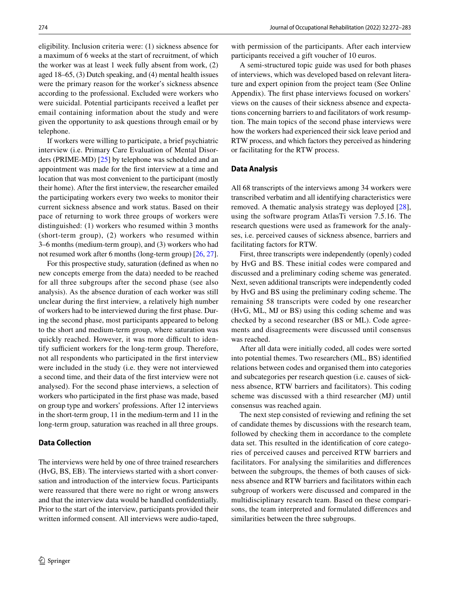eligibility. Inclusion criteria were: (1) sickness absence for a maximum of 6 weeks at the start of recruitment, of which the worker was at least 1 week fully absent from work, (2) aged 18–65, (3) Dutch speaking, and (4) mental health issues were the primary reason for the worker's sickness absence according to the professional. Excluded were workers who were suicidal. Potential participants received a leafet per email containing information about the study and were given the opportunity to ask questions through email or by telephone.

If workers were willing to participate, a brief psychiatric interview (i.e. Primary Care Evaluation of Mental Disorders (PRIME-MD) [[25](#page-11-9)] by telephone was scheduled and an appointment was made for the frst interview at a time and location that was most convenient to the participant (mostly their home). After the frst interview, the researcher emailed the participating workers every two weeks to monitor their current sickness absence and work status. Based on their pace of returning to work three groups of workers were distinguished: (1) workers who resumed within 3 months (short-term group), (2) workers who resumed within 3–6 months (medium-term group), and (3) workers who had not resumed work after 6 months (long-term group) [\[26,](#page-11-10) [27](#page-11-11)].

For this prospective study, saturation (defned as when no new concepts emerge from the data) needed to be reached for all three subgroups after the second phase (see also analysis). As the absence duration of each worker was still unclear during the frst interview, a relatively high number of workers had to be interviewed during the frst phase. During the second phase, most participants appeared to belong to the short and medium-term group, where saturation was quickly reached. However, it was more difficult to identify sufficient workers for the long-term group. Therefore, not all respondents who participated in the frst interview were included in the study (i.e. they were not interviewed a second time, and their data of the frst interview were not analysed). For the second phase interviews, a selection of workers who participated in the frst phase was made, based on group type and workers' professions. After 12 interviews in the short-term group, 11 in the medium-term and 11 in the long-term group, saturation was reached in all three groups.

## **Data Collection**

The interviews were held by one of three trained researchers (HvG, BS, EB). The interviews started with a short conversation and introduction of the interview focus. Participants were reassured that there were no right or wrong answers and that the interview data would be handled confdentially. Prior to the start of the interview, participants provided their written informed consent. All interviews were audio-taped,

with permission of the participants. After each interview participants received a gift voucher of 10 euros.

A semi-structured topic guide was used for both phases of interviews, which was developed based on relevant literature and expert opinion from the project team (See Online Appendix). The frst phase interviews focused on workers' views on the causes of their sickness absence and expectations concerning barriers to and facilitators of work resumption. The main topics of the second phase interviews were how the workers had experienced their sick leave period and RTW process, and which factors they perceived as hindering or facilitating for the RTW process.

#### **Data Analysis**

All 68 transcripts of the interviews among 34 workers were transcribed verbatim and all identifying characteristics were removed. A thematic analysis strategy was deployed [[28](#page-11-12)], using the software program AtlasTi version 7.5.16. The research questions were used as framework for the analyses, i.e. perceived causes of sickness absence, barriers and facilitating factors for RTW.

First, three transcripts were independently (openly) coded by HvG and BS. These initial codes were compared and discussed and a preliminary coding scheme was generated. Next, seven additional transcripts were independently coded by HvG and BS using the preliminary coding scheme. The remaining 58 transcripts were coded by one researcher (HvG, ML, MJ or BS) using this coding scheme and was checked by a second researcher (BS or ML). Code agreements and disagreements were discussed until consensus was reached.

After all data were initially coded, all codes were sorted into potential themes. Two researchers (ML, BS) identifed relations between codes and organised them into categories and subcategories per research question (i.e. causes of sickness absence, RTW barriers and facilitators). This coding scheme was discussed with a third researcher (MJ) until consensus was reached again.

The next step consisted of reviewing and refning the set of candidate themes by discussions with the research team, followed by checking them in accordance to the complete data set. This resulted in the identifcation of core categories of perceived causes and perceived RTW barriers and facilitators. For analysing the similarities and diferences between the subgroups, the themes of both causes of sickness absence and RTW barriers and facilitators within each subgroup of workers were discussed and compared in the multidisciplinary research team. Based on these comparisons, the team interpreted and formulated diferences and similarities between the three subgroups.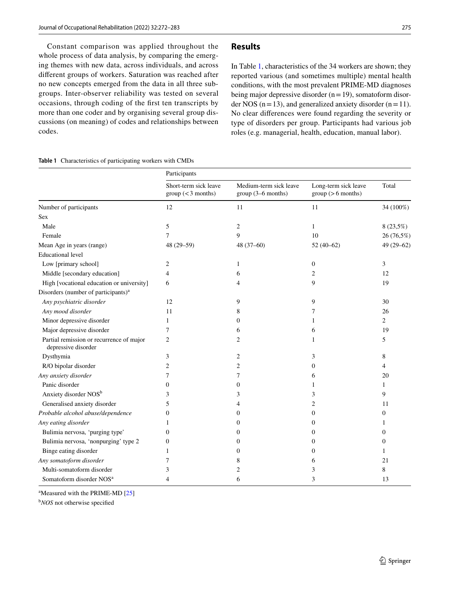Constant comparison was applied throughout the whole process of data analysis, by comparing the emerging themes with new data, across individuals, and across diferent groups of workers. Saturation was reached after no new concepts emerged from the data in all three subgroups. Inter-observer reliability was tested on several occasions, through coding of the frst ten transcripts by more than one coder and by organising several group discussions (on meaning) of codes and relationships between codes.

#### <span id="page-3-0"></span>**Table 1** Characteristics of participating workers with CMDs

## **Results**

In Table [1](#page-3-0), characteristics of the 34 workers are shown; they reported various (and sometimes multiple) mental health conditions, with the most prevalent PRIME-MD diagnoses being major depressive disorder  $(n=19)$ , somatoform disorder NOS ( $n=13$ ), and generalized anxiety disorder ( $n=11$ ). No clear diferences were found regarding the severity or type of disorders per group. Participants had various job roles (e.g. managerial, health, education, manual labor).

|                                                                 | Participants                              |                                              |                                           |                |
|-----------------------------------------------------------------|-------------------------------------------|----------------------------------------------|-------------------------------------------|----------------|
|                                                                 | Short-term sick leave<br>group(<3 months) | Medium-term sick leave<br>group (3-6 months) | Long-term sick leave<br>group (>6 months) | Total          |
| Number of participants                                          | 12                                        | 11                                           | 11                                        | 34 (100%)      |
| <b>Sex</b>                                                      |                                           |                                              |                                           |                |
| Male                                                            | 5                                         | $\overline{c}$                               | $\mathbf{1}$                              | 8 (23,5%)      |
| Female                                                          | 7                                         | 9                                            | 10                                        | 26 (76,5%)     |
| Mean Age in years (range)                                       | 48 (29-59)                                | $48(37-60)$                                  | $52(40-62)$                               | $49(29-62)$    |
| <b>Educational</b> level                                        |                                           |                                              |                                           |                |
| Low [primary school]                                            | 2                                         | 1                                            | $\overline{0}$                            | 3              |
| Middle [secondary education]                                    | $\overline{4}$                            | 6                                            | 2                                         | 12             |
| High [vocational education or university]                       | 6                                         | 4                                            | 9                                         | 19             |
| Disorders (number of participants) <sup>a</sup>                 |                                           |                                              |                                           |                |
| Any psychiatric disorder                                        | 12                                        | 9                                            | 9                                         | 30             |
| Any mood disorder                                               | 11                                        | 8                                            | 7                                         | 26             |
| Minor depressive disorder                                       | 1                                         | $\mathbf{0}$                                 |                                           | $\overline{2}$ |
| Major depressive disorder                                       | 7                                         | 6                                            | 6                                         | 19             |
| Partial remission or recurrence of major<br>depressive disorder | $\overline{c}$                            | $\overline{c}$                               | 1                                         | 5              |
| Dysthymia                                                       | 3                                         | 2                                            | 3                                         | 8              |
| R/O bipolar disorder                                            | 2                                         | 2                                            | $\mathbf{0}$                              | 4              |
| Any anxiety disorder                                            | 7                                         | 7                                            | 6                                         | 20             |
| Panic disorder                                                  | 0                                         | $\mathbf{0}$                                 | 1                                         | 1              |
| Anxiety disorder NOS <sup>b</sup>                               | 3                                         | 3                                            | 3                                         | 9              |
| Generalised anxiety disorder                                    | 5                                         | 4                                            | 2                                         | 11             |
| Probable alcohol abuse/dependence                               | $\theta$                                  | 0                                            | $\overline{0}$                            | $\overline{0}$ |
| Any eating disorder                                             | 1                                         | $\mathbf{0}$                                 | 0                                         | 1              |
| Bulimia nervosa, 'purging type'                                 | $\theta$                                  | 0                                            | $\Omega$                                  | $\overline{0}$ |
| Bulimia nervosa, 'nonpurging' type 2                            | $\mathbf{0}$                              | 0                                            | 0                                         | $\theta$       |
| Binge eating disorder                                           | 1                                         | $\Omega$                                     | $\Omega$                                  | 1              |
| Any somatoform disorder                                         | 7                                         | 8                                            | 6                                         | 21             |
| Multi-somatoform disorder                                       | 3                                         | 2                                            | 3                                         | 8              |
| Somatoform disorder NOS <sup>a</sup>                            |                                           | 6                                            | 3                                         | 13             |

<sup>a</sup>Measured with the PRIME-MD [[25](#page-11-9)]

b *NOS* not otherwise specifed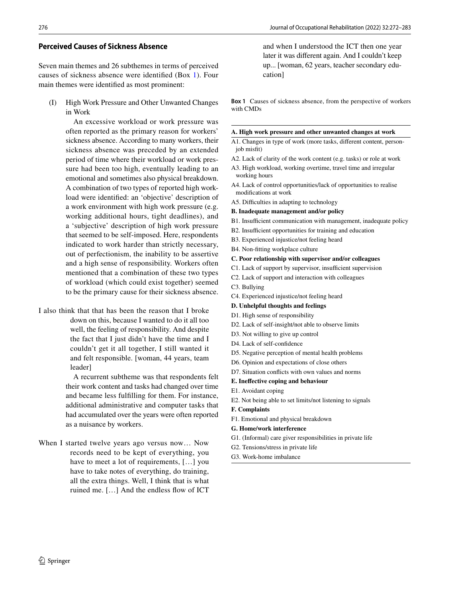#### **Perceived Causes of Sickness Absence**

Seven main themes and 26 subthemes in terms of perceived causes of sickness absence were identifed (Box 1). Four main themes were identifed as most prominent:

(I) High Work Pressure and Other Unwanted Changes in Work

> An excessive workload or work pressure was often reported as the primary reason for workers' sickness absence. According to many workers, their sickness absence was preceded by an extended period of time where their workload or work pressure had been too high, eventually leading to an emotional and sometimes also physical breakdown. A combination of two types of reported high workload were identifed: an 'objective' description of a work environment with high work pressure (e.g. working additional hours, tight deadlines), and a 'subjective' description of high work pressure that seemed to be self-imposed. Here, respondents indicated to work harder than strictly necessary, out of perfectionism, the inability to be assertive and a high sense of responsibility. Workers often mentioned that a combination of these two types of workload (which could exist together) seemed to be the primary cause for their sickness absence.

I also think that that has been the reason that I broke down on this, because I wanted to do it all too well, the feeling of responsibility. And despite the fact that I just didn't have the time and I couldn't get it all together, I still wanted it and felt responsible. [woman, 44 years, team leader]

> A recurrent subtheme was that respondents felt their work content and tasks had changed over time and became less fulflling for them. For instance, additional administrative and computer tasks that had accumulated over the years were often reported as a nuisance by workers.

When I started twelve years ago versus now… Now records need to be kept of everything, you have to meet a lot of requirements, […] you have to take notes of everything, do training, all the extra things. Well, I think that is what ruined me. […] And the endless fow of ICT

and when I understood the ICT then one year later it was diferent again. And I couldn't keep up... [woman, 62 years, teacher secondary education]

**Box 1** Causes of sickness absence, from the perspective of workers with CMDs

#### **A. High work pressure and other unwanted changes at work**

A1. Changes in type of work (more tasks, diferent content, personjob misft)

- A2. Lack of clarity of the work content (e.g. tasks) or role at work
- A3. High workload, working overtime, travel time and irregular working hours
- A4. Lack of control opportunities/lack of opportunities to realise modifcations at work
- A5. Difficulties in adapting to technology

**B. Inadequate management and/or policy**

- B1. Insufficient communication with management, inadequate policy
- B2. Insufficient opportunities for training and education
- B3. Experienced injustice/not feeling heard
- B4. Non-ftting workplace culture

#### **C. Poor relationship with supervisor and/or colleagues**

- C1. Lack of support by supervisor, insufficient supervision
- C2. Lack of support and interaction with colleagues
- C3. Bullying
- C4. Experienced injustice/not feeling heard
- **D. Unhelpful thoughts and feelings**
- D1. High sense of responsibility
- D2. Lack of self-insight/not able to observe limits
- D3. Not willing to give up control
- D4. Lack of self-confdence
- D5. Negative perception of mental health problems
- D6. Opinion and expectations of close others
- D7. Situation conficts with own values and norms
- **E. Inefective coping and behaviour**
- E1. Avoidant coping
- E2. Not being able to set limits/not listening to signals
- **F. Complaints**
- F1. Emotional and physical breakdown
- **G. Home/work interference**
- G1. (Informal) care giver responsibilities in private life
- G2. Tensions/stress in private life
- G3. Work-home imbalance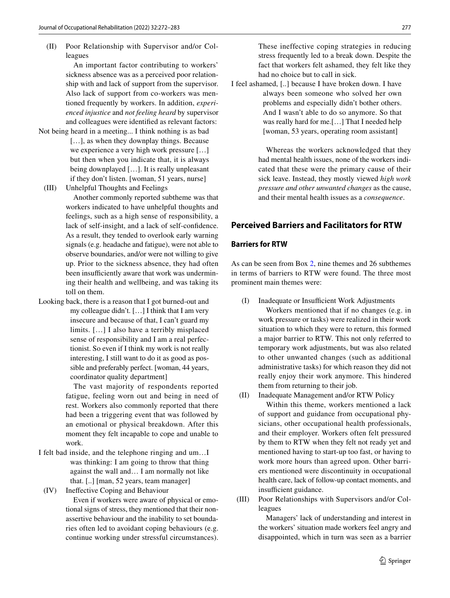(II) Poor Relationship with Supervisor and/or Colleagues

> An important factor contributing to workers' sickness absence was as a perceived poor relationship with and lack of support from the supervisor. Also lack of support from co-workers was mentioned frequently by workers. In addition, *experienced injustice* and *not feeling heard* by supervisor and colleagues were identifed as relevant factors:

- Not being heard in a meeting... I think nothing is as bad [...], as when they downplay things. Because we experience a very high work pressure […] but then when you indicate that, it is always being downplayed […]. It is really unpleasant if they don't listen. [woman, 51 years, nurse]
- (III) Unhelpful Thoughts and Feelings

 Another commonly reported subtheme was that workers indicated to have unhelpful thoughts and feelings, such as a high sense of responsibility, a lack of self-insight, and a lack of self-confdence. As a result, they tended to overlook early warning signals (e.g. headache and fatigue), were not able to observe boundaries, and/or were not willing to give up. Prior to the sickness absence, they had often been insufficiently aware that work was undermining their health and wellbeing, and was taking its toll on them.

Looking back, there is a reason that I got burned-out and my colleague didn't. […] I think that I am very insecure and because of that, I can't guard my limits. […] I also have a terribly misplaced sense of responsibility and I am a real perfectionist. So even if I think my work is not really interesting, I still want to do it as good as possible and preferably perfect. [woman, 44 years, coordinator quality department]

> The vast majority of respondents reported fatigue, feeling worn out and being in need of rest. Workers also commonly reported that there had been a triggering event that was followed by an emotional or physical breakdown. After this moment they felt incapable to cope and unable to work.

I felt bad inside, and the telephone ringing and um…I was thinking: I am going to throw that thing against the wall and… I am normally not like that. [..] [man, 52 years, team manager]

(IV) Inefective Coping and Behaviour

 Even if workers were aware of physical or emotional signs of stress, they mentioned that their nonassertive behaviour and the inability to set boundaries often led to avoidant coping behaviours (e.g. continue working under stressful circumstances).

These ineffective coping strategies in reducing stress frequently led to a break down. Despite the fact that workers felt ashamed, they felt like they had no choice but to call in sick.

I feel ashamed, [..] because I have broken down. I have always been someone who solved her own problems and especially didn't bother others. And I wasn't able to do so anymore. So that was really hard for me.[…] That I needed help [woman, 53 years, operating room assistant]

> Whereas the workers acknowledged that they had mental health issues, none of the workers indicated that these were the primary cause of their sick leave. Instead, they mostly viewed *high work pressure and other unwanted changes* as the cause, and their mental health issues as a *consequence*.

# **Perceived Barriers and Facilitators for RTW**

## **Barriers for RTW**

As can be seen from Box 2, nine themes and 26 subthemes in terms of barriers to RTW were found. The three most prominent main themes were:

- (I) Inadequate or Insufficient Work Adjustments Workers mentioned that if no changes (e.g. in work pressure or tasks) were realized in their work situation to which they were to return, this formed a major barrier to RTW. This not only referred to temporary work adjustments, but was also related to other unwanted changes (such as additional administrative tasks) for which reason they did not really enjoy their work anymore. This hindered them from returning to their job.
- (II) Inadequate Management and/or RTW Policy Within this theme, workers mentioned a lack of support and guidance from occupational physicians, other occupational health professionals, and their employer. Workers often felt pressured by them to RTW when they felt not ready yet and mentioned having to start-up too fast, or having to work more hours than agreed upon. Other barriers mentioned were discontinuity in occupational health care, lack of follow-up contact moments, and insufficient guidance.
- (III) Poor Relationships with Supervisors and/or Colleagues

 Managers' lack of understanding and interest in the workers' situation made workers feel angry and disappointed, which in turn was seen as a barrier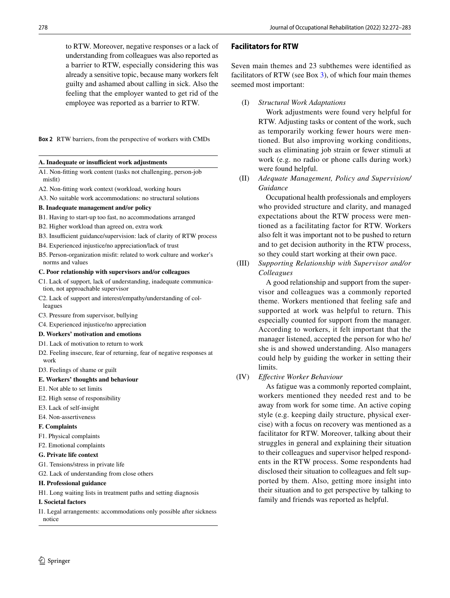to RTW. Moreover, negative responses or a lack of understanding from colleagues was also reported as a barrier to RTW, especially considering this was already a sensitive topic, because many workers felt guilty and ashamed about calling in sick. Also the feeling that the employer wanted to get rid of the employee was reported as a barrier to RTW.

**Box 2** RTW barriers, from the perspective of workers with CMDs

#### A. Inadequate or insufficient work adjustments

- A1. Non-ftting work content (tasks not challenging, person-job misfit)
- A2. Non-ftting work context (workload, working hours
- A3. No suitable work accommodations: no structural solutions

#### **B. Inadequate management and/or policy**

- B1. Having to start-up too fast, no accommodations arranged
- B2. Higher workload than agreed on, extra work
- B3. Insufficient guidance/supervision: lack of clarity of RTW process
- B4. Experienced injustice/no appreciation/lack of trust
- B5. Person-organization misft: related to work culture and worker's norms and values

## **C. Poor relationship with supervisors and/or colleagues**

- C1. Lack of support, lack of understanding, inadequate communication, not approachable supervisor
- C2. Lack of support and interest/empathy/understanding of colleagues
- C3. Pressure from supervisor, bullying
- C4. Experienced injustice/no appreciation
- **D. Workers' motivation and emotions**
- D1. Lack of motivation to return to work
- D2. Feeling insecure, fear of returning, fear of negative responses at work
- D3. Feelings of shame or guilt

## **E. Workers' thoughts and behaviour**

- E1. Not able to set limits
- E2. High sense of responsibility
- E3. Lack of self-insight
- E4. Non-assertiveness

## **F. Complaints**

- F1. Physical complaints
- F2. Emotional complaints

## **G. Private life context**

- G1. Tensions/stress in private life
- G2. Lack of understanding from close others

## **H. Professional guidance**

H1. Long waiting lists in treatment paths and setting diagnosis

## **I. Societal factors**

I1. Legal arrangements: accommodations only possible after sickness notice

# $\circled{2}$  Springer

# **Facilitators for RTW**

Seven main themes and 23 subthemes were identifed as facilitators of RTW (see Box 3), of which four main themes seemed most important:

(I) *Structural Work Adaptations*

 Work adjustments were found very helpful for RTW. Adjusting tasks or content of the work, such as temporarily working fewer hours were mentioned. But also improving working conditions, such as eliminating job strain or fewer stimuli at work (e.g. no radio or phone calls during work) were found helpful.

(II) *Adequate Management, Policy and Supervision/ Guidance*

> Occupational health professionals and employers who provided structure and clarity, and managed expectations about the RTW process were mentioned as a facilitating factor for RTW. Workers also felt it was important not to be pushed to return and to get decision authority in the RTW process, so they could start working at their own pace.

(III) *Supporting Relationship with Supervisor and/or Colleagues*

> A good relationship and support from the supervisor and colleagues was a commonly reported theme. Workers mentioned that feeling safe and supported at work was helpful to return. This especially counted for support from the manager. According to workers, it felt important that the manager listened, accepted the person for who he/ she is and showed understanding. Also managers could help by guiding the worker in setting their limits.

(IV) *Efective Worker Behaviour*

 As fatigue was a commonly reported complaint, workers mentioned they needed rest and to be away from work for some time. An active coping style (e.g. keeping daily structure, physical exercise) with a focus on recovery was mentioned as a facilitator for RTW. Moreover, talking about their struggles in general and explaining their situation to their colleagues and supervisor helped respondents in the RTW process. Some respondents had disclosed their situation to colleagues and felt supported by them. Also, getting more insight into their situation and to get perspective by talking to family and friends was reported as helpful.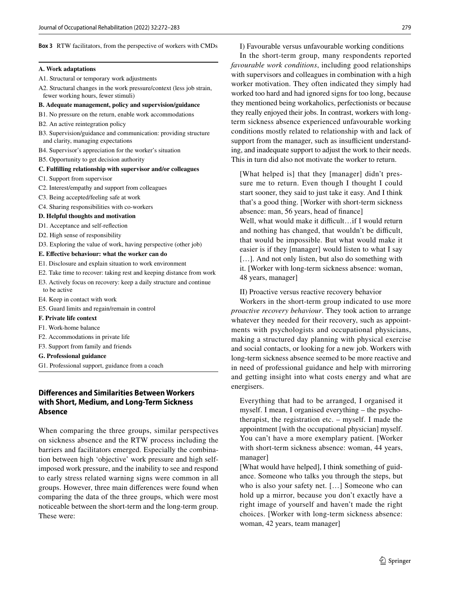#### **Box 3** RTW facilitators, from the perspective of workers with CMDs

#### **A. Work adaptations**

A1. Structural or temporary work adjustments

A2. Structural changes in the work pressure/context (less job strain, fewer working hours, fewer stimuli)

#### **B. Adequate management, policy and supervision/guidance**

- B1. No pressure on the return, enable work accommodations
- B2. An active reintegration policy
- B3. Supervision/guidance and communication: providing structure and clarity, managing expectations
- B4. Supervisor's appreciation for the worker's situation
- B5. Opportunity to get decision authority

#### **C. Fulflling relationship with supervisor and/or colleagues**

- C1. Support from supervisor
- C2. Interest/empathy and support from colleagues
- C3. Being accepted/feeling safe at work
- C4. Sharing responsibilities with co-workers

#### **D. Helpful thoughts and motivation**

- D1. Acceptance and self-refection
- D2. High sense of responsibility
- D3. Exploring the value of work, having perspective (other job)

#### **E. Efective behaviour: what the worker can do**

- E1. Disclosure and explain situation to work environment
- E2. Take time to recover: taking rest and keeping distance from work
- E3. Actively focus on recovery: keep a daily structure and continue to be active
- E4. Keep in contact with work
- E5. Guard limits and regain/remain in control

#### **F. Private life context**

- F1. Work-home balance
- F2. Accommodations in private life
- F3. Support from family and friends
- **G. Professional guidance**
- G1. Professional support, guidance from a coach

# **Diferences and Similarities Between Workers with Short, Medium, and Long‑Term Sickness Absence**

When comparing the three groups, similar perspectives on sickness absence and the RTW process including the barriers and facilitators emerged. Especially the combination between high 'objective' work pressure and high selfimposed work pressure, and the inability to see and respond to early stress related warning signs were common in all groups. However, three main diferences were found when comparing the data of the three groups, which were most noticeable between the short-term and the long-term group. These were:

I) Favourable versus unfavourable working conditions

In the short-term group, many respondents reported *favourable work conditions*, including good relationships with supervisors and colleagues in combination with a high worker motivation. They often indicated they simply had worked too hard and had ignored signs for too long, because they mentioned being workaholics, perfectionists or because they really enjoyed their jobs. In contrast, workers with longterm sickness absence experienced unfavourable working conditions mostly related to relationship with and lack of support from the manager, such as insufficient understanding, and inadequate support to adjust the work to their needs. This in turn did also not motivate the worker to return.

[What helped is] that they [manager] didn't pressure me to return. Even though I thought I could start sooner, they said to just take it easy. And I think that's a good thing. [Worker with short-term sickness absence: man, 56 years, head of fnance]

Well, what would make it difficult...if I would return and nothing has changed, that wouldn't be difficult, that would be impossible. But what would make it easier is if they [manager] would listen to what I say [...]. And not only listen, but also do something with it. [Worker with long-term sickness absence: woman, 48 years, manager]

II) Proactive versus reactive recovery behavior

Workers in the short-term group indicated to use more *proactive recovery behaviour*. They took action to arrange whatever they needed for their recovery, such as appointments with psychologists and occupational physicians, making a structured day planning with physical exercise and social contacts, or looking for a new job. Workers with long-term sickness absence seemed to be more reactive and in need of professional guidance and help with mirroring and getting insight into what costs energy and what are energisers.

Everything that had to be arranged, I organised it myself. I mean, I organised everything – the psychotherapist, the registration etc. – myself. I made the appointment [with the occupational physician] myself. You can't have a more exemplary patient. [Worker with short-term sickness absence: woman, 44 years, manager]

[What would have helped], I think something of guidance. Someone who talks you through the steps, but who is also your safety net. […] Someone who can hold up a mirror, because you don't exactly have a right image of yourself and haven't made the right choices. [Worker with long-term sickness absence: woman, 42 years, team manager]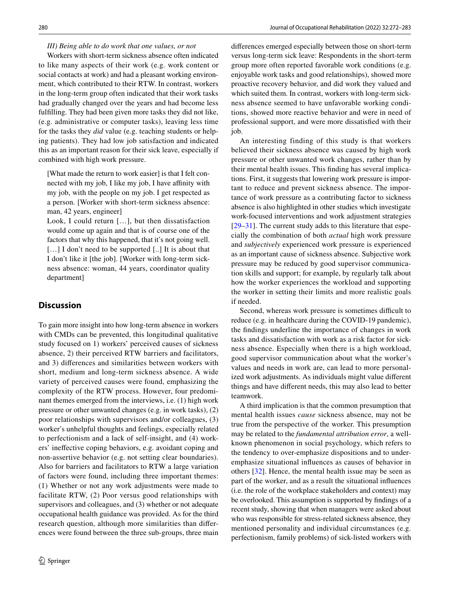## *III) Being able to do work that one values, or not*

Workers with short-term sickness absence often indicated to like many aspects of their work (e.g. work content or social contacts at work) and had a pleasant working environment, which contributed to their RTW. In contrast, workers in the long-term group often indicated that their work tasks had gradually changed over the years and had become less fulflling. They had been given more tasks they did not like, (e.g. administrative or computer tasks), leaving less time for the tasks they *did* value (e.g. teaching students or helping patients). They had low job satisfaction and indicated this as an important reason for their sick leave, especially if combined with high work pressure.

[What made the return to work easier] is that I felt connected with my job, I like my job, I have affinity with my job, with the people on my job. I get respected as a person. [Worker with short-term sickness absence: man, 42 years, engineer]

Look, I could return […], but then dissatisfaction would come up again and that is of course one of the factors that why this happened, that it's not going well. [...] I don't need to be supported [..] It is about that I don't like it [the job]. [Worker with long-term sickness absence: woman, 44 years, coordinator quality department]

# **Discussion**

To gain more insight into how long-term absence in workers with CMDs can be prevented, this longitudinal qualitative study focused on 1) workers' perceived causes of sickness absence, 2) their perceived RTW barriers and facilitators, and 3) diferences and similarities between workers with short, medium and long-term sickness absence. A wide variety of perceived causes were found, emphasizing the complexity of the RTW process. However, four predominant themes emerged from the interviews, i.e. (1) high work pressure or other unwanted changes (e.g. in work tasks), (2) poor relationships with supervisors and/or colleagues, (3) worker's unhelpful thoughts and feelings, especially related to perfectionism and a lack of self-insight, and (4) workers' inefective coping behaviors, e.g. avoidant coping and non-assertive behavior (e.g. not setting clear boundaries). Also for barriers and facilitators to RTW a large variation of factors were found, including three important themes: (1) Whether or not any work adjustments were made to facilitate RTW, (2) Poor versus good relationships with supervisors and colleagues, and (3) whether or not adequate occupational health guidance was provided. As for the third research question, although more similarities than diferences were found between the three sub-groups, three main diferences emerged especially between those on short-term versus long-term sick leave: Respondents in the short-term group more often reported favorable work conditions (e.g. enjoyable work tasks and good relationships), showed more proactive recovery behavior, and did work they valued and which suited them. In contrast, workers with long-term sickness absence seemed to have unfavorable working conditions, showed more reactive behavior and were in need of professional support, and were more dissatisfed with their job.

An interesting finding of this study is that workers believed their sickness absence was caused by high work pressure or other unwanted work changes, rather than by their mental health issues. This fnding has several implications. First, it suggests that lowering work pressure is important to reduce and prevent sickness absence. The importance of work pressure as a contributing factor to sickness absence is also highlighted in other studies which investigate work-focused interventions and work adjustment strategies [[29–](#page-11-13)[31\]](#page-11-14). The current study adds to this literature that especially the combination of both *actual* high work pressure and *subjectively* experienced work pressure is experienced as an important cause of sickness absence. Subjective work pressure may be reduced by good supervisor communication skills and support; for example, by regularly talk about how the worker experiences the workload and supporting the worker in setting their limits and more realistic goals if needed.

Second, whereas work pressure is sometimes difficult to reduce (e.g. in healthcare during the COVID-19 pandemic), the fndings underline the importance of changes in work tasks and dissatisfaction with work as a risk factor for sickness absence. Especially when there is a high workload, good supervisor communication about what the worker's values and needs in work are, can lead to more personalized work adjustments. As individuals might value diferent things and have diferent needs, this may also lead to better teamwork.

A third implication is that the common presumption that mental health issues *cause* sickness absence, may not be true from the perspective of the worker. This presumption may be related to the *fundamental attribution error*, a wellknown phenomenon in social psychology, which refers to the tendency to over-emphasize dispositions and to underemphasize situational infuences as causes of behavior in others [[32](#page-11-15)]. Hence, the mental health issue may be seen as part of the worker, and as a result the situational infuences (i.e. the role of the workplace stakeholders and context) may be overlooked. This assumption is supported by fndings of a recent study, showing that when managers were asked about who was responsible for stress-related sickness absence, they mentioned personality and individual circumstances (e.g. perfectionism, family problems) of sick-listed workers with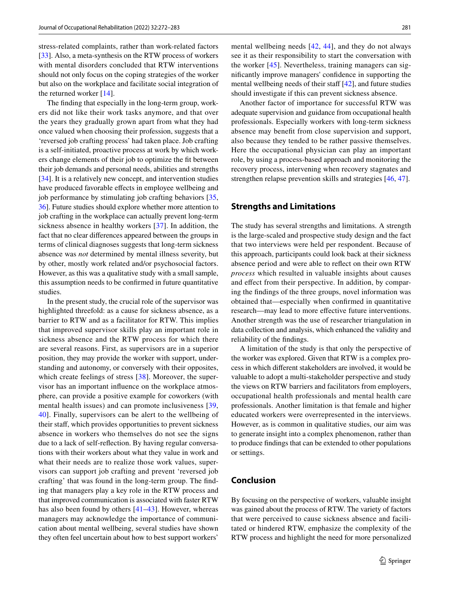stress-related complaints, rather than work-related factors [\[33](#page-11-16)]. Also, a meta-synthesis on the RTW process of workers with mental disorders concluded that RTW interventions should not only focus on the coping strategies of the worker but also on the workplace and facilitate social integration of the returned worker [\[14](#page-10-9)].

The fnding that especially in the long-term group, workers did not like their work tasks anymore, and that over the years they gradually grown apart from what they had once valued when choosing their profession, suggests that a 'reversed job crafting process' had taken place. Job crafting is a self-initiated, proactive process at work by which workers change elements of their job to optimize the ft between their job demands and personal needs, abilities and strengths [\[34\]](#page-11-17). It is a relatively new concept, and intervention studies have produced favorable effects in employee wellbeing and job performance by stimulating job crafting behaviors [[35,](#page-11-18) [36\]](#page-11-19). Future studies should explore whether more attention to job crafting in the workplace can actually prevent long-term sickness absence in healthy workers [[37\]](#page-11-20). In addition, the fact that no clear diferences appeared between the groups in terms of clinical diagnoses suggests that long-term sickness absence was *not* determined by mental illness severity, but by other, mostly work related and/or psychosocial factors. However, as this was a qualitative study with a small sample, this assumption needs to be confrmed in future quantitative studies.

In the present study, the crucial role of the supervisor was highlighted threefold: as a cause for sickness absence, as a barrier to RTW and as a facilitator for RTW. This implies that improved supervisor skills play an important role in sickness absence and the RTW process for which there are several reasons. First, as supervisors are in a superior position, they may provide the worker with support, understanding and autonomy, or conversely with their opposites, which create feelings of stress [[38](#page-11-21)]. Moreover, the supervisor has an important infuence on the workplace atmosphere, can provide a positive example for coworkers (with mental health issues) and can promote inclusiveness [\[39,](#page-11-22) [40](#page-11-23)]. Finally, supervisors can be alert to the wellbeing of their staf, which provides opportunities to prevent sickness absence in workers who themselves do not see the signs due to a lack of self-refection. By having regular conversations with their workers about what they value in work and what their needs are to realize those work values, supervisors can support job crafting and prevent 'reversed job crafting' that was found in the long-term group. The fnding that managers play a key role in the RTW process and that improved communication is associated with faster RTW has also been found by others [[41–](#page-11-24)[43](#page-11-25)]. However, whereas managers may acknowledge the importance of communication about mental wellbeing, several studies have shown they often feel uncertain about how to best support workers'

mental wellbeing needs [[42](#page-11-26), [44](#page-11-27)], and they do not always see it as their responsibility to start the conversation with the worker [[45](#page-11-28)]. Nevertheless, training managers can signifcantly improve managers' confdence in supporting the mental wellbeing needs of their staff  $[42]$  $[42]$ , and future studies should investigate if this can prevent sickness absence.

Another factor of importance for successful RTW was adequate supervision and guidance from occupational health professionals. Especially workers with long-term sickness absence may beneft from close supervision and support, also because they tended to be rather passive themselves. Here the occupational physician can play an important role, by using a process-based approach and monitoring the recovery process, intervening when recovery stagnates and strengthen relapse prevention skills and strategies [[46,](#page-11-29) [47](#page-11-30)].

# **Strengths and Limitations**

The study has several strengths and limitations. A strength is the large-scaled and prospective study design and the fact that two interviews were held per respondent. Because of this approach, participants could look back at their sickness absence period and were able to refect on their own RTW *process* which resulted in valuable insights about causes and effect from their perspective. In addition, by comparing the fndings of the three groups, novel information was obtained that—especially when confrmed in quantitative research—may lead to more efective future interventions. Another strength was the use of researcher triangulation in data collection and analysis, which enhanced the validity and reliability of the fndings.

A limitation of the study is that only the perspective of the worker was explored. Given that RTW is a complex process in which diferent stakeholders are involved, it would be valuable to adopt a multi-stakeholder perspective and study the views on RTW barriers and facilitators from employers, occupational health professionals and mental health care professionals. Another limitation is that female and higher educated workers were overrepresented in the interviews. However, as is common in qualitative studies, our aim was to generate insight into a complex phenomenon, rather than to produce fndings that can be extended to other populations or settings.

# **Conclusion**

By focusing on the perspective of workers, valuable insight was gained about the process of RTW. The variety of factors that were perceived to cause sickness absence and facilitated or hindered RTW, emphasize the complexity of the RTW process and highlight the need for more personalized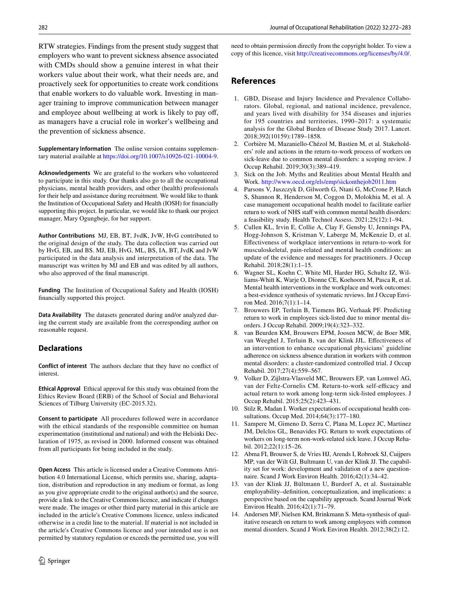RTW strategies. Findings from the present study suggest that employers who want to prevent sickness absence associated with CMDs should show a genuine interest in what their workers value about their work, what their needs are, and proactively seek for opportunities to create work conditions that enable workers to do valuable work. Investing in manager training to improve communication between manager and employee about wellbeing at work is likely to pay off, as managers have a crucial role in worker's wellbeing and the prevention of sickness absence.

**Supplementary Information** The online version contains supplementary material available at<https://doi.org/10.1007/s10926-021-10004-9>.

**Acknowledgements** We are grateful to the workers who volunteered to participate in this study. Our thanks also go to all the occupational physicians, mental health providers, and other (health) professionals for their help and assistance during recruitment. We would like to thank the Institution of Occupational Safety and Health (IOSH) for fnancially supporting this project. In particular, we would like to thank our project manager, Mary Ogungbeje, for her support.

**Author Contributions** MJ, EB, BT, JvdK, JvW, HvG contributed to the original design of the study. The data collection was carried out by HvG, EB, and BS. MJ, EB, HvG, ML, BS, IA, BT, JvdK and JvW participated in the data analysis and interpretation of the data. The manuscript was written by MJ and EB and was edited by all authors, who also approved of the fnal manuscript.

**Funding** The Institution of Occupational Safety and Health (IOSH) fnancially supported this project.

**Data Availability** The datasets generated during and/or analyzed during the current study are available from the corresponding author on reasonable request.

# **Declarations**

**Conflict of interest** The authors declare that they have no confict of interest.

**Ethical Approval** Ethical approval for this study was obtained from the Ethics Review Board (ERB) of the School of Social and Behavioral Sciences of Tilburg University (EC-2015.32).

**Consent to participate** All procedures followed were in accordance with the ethical standards of the responsible committee on human experimentation (institutional and national) and with the Helsinki Declaration of 1975, as revised in 2000. Informed consent was obtained from all participants for being included in the study.

**Open Access** This article is licensed under a Creative Commons Attribution 4.0 International License, which permits use, sharing, adaptation, distribution and reproduction in any medium or format, as long as you give appropriate credit to the original author(s) and the source, provide a link to the Creative Commons licence, and indicate if changes were made. The images or other third party material in this article are included in the article's Creative Commons licence, unless indicated otherwise in a credit line to the material. If material is not included in the article's Creative Commons licence and your intended use is not permitted by statutory regulation or exceeds the permitted use, you will need to obtain permission directly from the copyright holder. To view a copy of this licence, visit<http://creativecommons.org/licenses/by/4.0/>.

# **References**

- <span id="page-10-0"></span>1. GBD, Disease and Injury Incidence and Prevalence Collaborators. Global, regional, and national incidence, prevalence, and years lived with disability for 354 diseases and injuries for 195 countries and territories, 1990–2017: a systematic analysis for the Global Burden of Disease Study 2017. Lancet. 2018;392(10159):1789–1858.
- <span id="page-10-1"></span>2. Corbière M, Mazaniello-Chézol M, Bastien M, et al. Stakeholders' role and actions in the return-to-work process of workers on sick-leave due to common mental disorders: a scoping review. J Occup Rehabil. 2019;30(3):389–419.
- <span id="page-10-2"></span>3. Sick on the Job. Myths and Realities about Mental Health and Work.<http://www.oecd.org/els/emp/sickonthejob2011.htm>
- <span id="page-10-3"></span>4. Parsons V, Juszczyk D, Gilworth G, Ntani G, McCrone P, Hatch S, Shannon R, Henderson M, Coggon D, Molokhia M, et al. A case management occupational health model to facilitate earlier return to work of NHS staff with common mental health disorders: a feasibility study. Health Technol Assess. 2021;25(12):1–94.
- 5. Cullen KL, Irvin E, Collie A, Clay F, Gensby U, Jennings PA, Hogg-Johnson S, Kristman V, Laberge M, McKenzie D, et al. Efectiveness of workplace interventions in return-to-work for musculoskeletal, pain-related and mental health conditions: an update of the evidence and messages for practitioners. J Occup Rehabil. 2018;28(1):1–15.
- <span id="page-10-4"></span>6. Wagner SL, Koehn C, White MI, Harder HG, Schultz IZ, Williams-Whitt K, Warje O, Dionne CE, Koehoorn M, Pasca R, et al. Mental health interventions in the workplace and work outcomes: a best-evidence synthesis of systematic reviews. Int J Occup Environ Med. 2016;7(1):1–14.
- <span id="page-10-5"></span>7. Brouwers EP, Terluin B, Tiemens BG, Verhaak PF. Predicting return to work in employees sick-listed due to minor mental disorders. J Occup Rehabil. 2009;19(4):323–332.
- 8. van Beurden KM, Brouwers EPM, Joosen MCW, de Boer MR, van Weeghel J, Terluin B, van der Klink JJL. Efectiveness of an intervention to enhance occupational physicians' guideline adherence on sickness absence duration in workers with common mental disorders: a cluster-randomized controlled trial. J Occup Rehabil. 2017;27(4):559–567.
- 9. Volker D, Zijlstra-Vlasveld MC, Brouwers EP, van Lomwel AG, van der Feltz-Cornelis CM. Return-to-work self-efficacy and actual return to work among long-term sick-listed employees. J Occup Rehabil. 2015;25(2):423–431.
- 10. Stilz R, Madan I. Worker expectations of occupational health consultations. Occup Med. 2014;64(3):177–180.
- <span id="page-10-6"></span>11. Sampere M, Gimeno D, Serra C, Plana M, Lopez JC, Martinez JM, Delclos GL, Benavides FG. Return to work expectations of workers on long-term non-work-related sick leave. J Occup Rehabil. 2012;22(1):15–26.
- <span id="page-10-7"></span>12. Abma FI, Brouwer S, de Vries HJ, Arends I, Robroek SJ, Cuijpers MP, van der Wilt GJ, Bultmann U, van der Klink JJ. The capability set for work: development and validation of a new questionnaire. Scand J Work Environ Health. 2016;42(1):34–42.
- <span id="page-10-8"></span>13. van der Klink JJ, Bültmann U, Burdorf A, et al. Sustainable employability–defnition, conceptualization, and implications: a perspective based on the capability approach. Scand Journal Work Environ Health. 2016;42(1):71–79.
- <span id="page-10-9"></span>14. Andersen MF, Nielsen KM, Brinkmann S. Meta-synthesis of qualitative research on return to work among employees with common mental disorders. Scand J Work Environ Health. 2012;38(2):12.